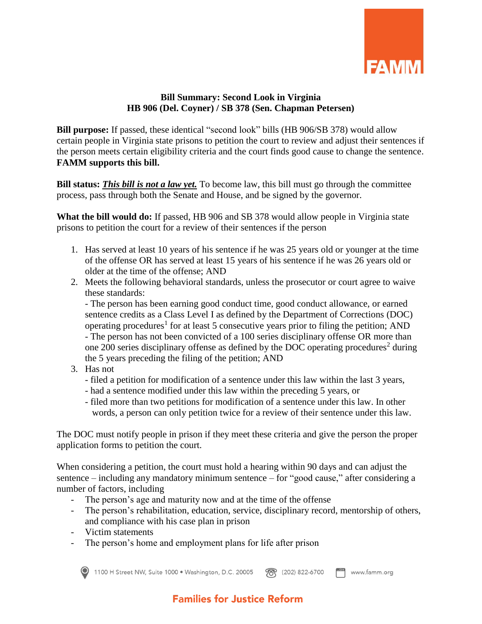

## **Bill Summary: Second Look in Virginia HB 906 (Del. Coyner) / SB 378 (Sen. Chapman Petersen)**

**Bill purpose:** If passed, these identical "second look" bills (HB 906/SB 378) would allow certain people in Virginia state prisons to petition the court to review and adjust their sentences if the person meets certain eligibility criteria and the court finds good cause to change the sentence. **FAMM supports this bill.**

**Bill status:** *This bill is not a law yet.* To become law, this bill must go through the committee process, pass through both the Senate and House, and be signed by the governor.

**What the bill would do:** If passed, HB 906 and SB 378 would allow people in Virginia state prisons to petition the court for a review of their sentences if the person

- 1. Has served at least 10 years of his sentence if he was 25 years old or younger at the time of the offense OR has served at least 15 years of his sentence if he was 26 years old or older at the time of the offense; AND
- 2. Meets the following behavioral standards, unless the prosecutor or court agree to waive these standards:

- The person has been earning good conduct time, good conduct allowance, or earned sentence credits as a Class Level I as defined by the Department of Corrections (DOC) operating procedures<sup>1</sup> for at least 5 consecutive years prior to filing the petition; AND - The person has not been convicted of a 100 series disciplinary offense OR more than one 200 series disciplinary offense as defined by the DOC operating procedures<sup>2</sup> during the 5 years preceding the filing of the petition; AND

- 3. Has not
	- filed a petition for modification of a sentence under this law within the last 3 years,
	- had a sentence modified under this law within the preceding 5 years, or
	- filed more than two petitions for modification of a sentence under this law. In other words, a person can only petition twice for a review of their sentence under this law.

The DOC must notify people in prison if they meet these criteria and give the person the proper application forms to petition the court.

When considering a petition, the court must hold a hearing within 90 days and can adjust the sentence – including any mandatory minimum sentence – for "good cause," after considering a number of factors, including

- The person's age and maturity now and at the time of the offense
- The person's rehabilitation, education, service, disciplinary record, mentorship of others, and compliance with his case plan in prison
- Victim statements
- The person's home and employment plans for life after prison



1100 H Street NW, Suite 1000 · Washington, D.C. 20005  $F^{\text{ax}}$  www.famm.org **??** (202) 822-6700

## **Families for Justice Reform**